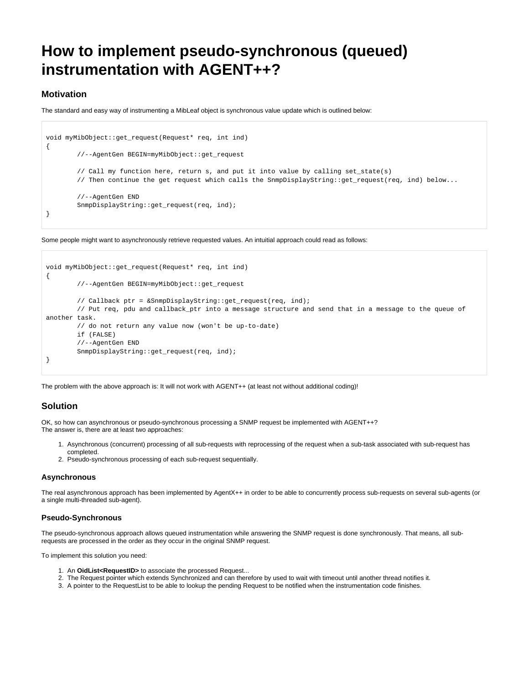# **How to implement pseudo-synchronous (queued) instrumentation with AGENT++?**

## **Motivation**

The standard and easy way of instrumenting a MibLeaf object is synchronous value update which is outlined below:

```
void myMibObject::get_request(Request* req, int ind)
{
         //--AgentGen BEGIN=myMibObject::get_request
        // Call my function here, return s, and put it into value by calling set_state(s)
        // Then continue the get request which calls the SnmpDisplayString::get_request(req, ind) below...
         //--AgentGen END
        SnmpDisplayString::get_request(req, ind);
}
```
Some people might want to asynchronously retrieve requested values. An intuitial approach could read as follows:

```
void myMibObject::get_request(Request* req, int ind)
{
         //--AgentGen BEGIN=myMibObject::get_request
        // Callback ptr = &SnmpDisplayString::get_request(req, ind);
         // Put req, pdu and callback_ptr into a message structure and send that in a message to the queue of 
another task.
        // do not return any value now (won't be up-to-date)
        if (FALSE)
        //--AgentGen END
        SnmpDisplayString::get_request(req, ind);
}
```
The problem with the above approach is: It will not work with AGENT++ (at least not without additional coding)!

## **Solution**

OK, so how can asynchronous or pseudo-synchronous processing a SNMP request be implemented with AGENT++? The answer is, there are at least two approaches:

- 1. Asynchronous (concurrent) processing of all sub-requests with reprocessing of the request when a sub-task associated with sub-request has completed.
- 2. Pseudo-synchronous processing of each sub-request sequentially.

### **Asynchronous**

The real asynchronous approach has been implemented by AgentX++ in order to be able to concurrently process sub-requests on several sub-agents (or a single multi-threaded sub-agent).

### **Pseudo-Synchronous**

The pseudo-synchronous approach allows queued instrumentation while answering the SNMP request is done synchronously. That means, all subrequests are processed in the order as they occur in the original SNMP request.

To implement this solution you need:

- 1. An **OidList<RequestID>** to associate the processed Request...
- 2. The Request pointer which extends Synchronized and can therefore by used to wait with timeout until another thread notifies it.
- 3. A pointer to the RequestList to be able to lookup the pending Request to be notified when the instrumentation code finishes.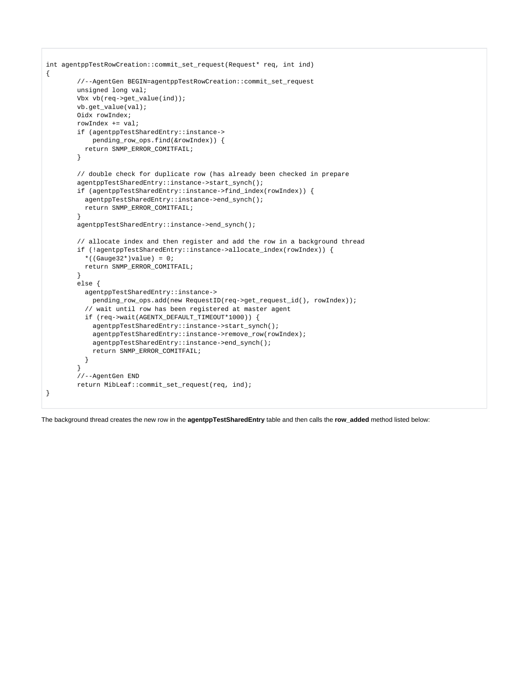```
int agentppTestRowCreation::commit_set_request(Request* req, int ind)
{
         //--AgentGen BEGIN=agentppTestRowCreation::commit_set_request
         unsigned long val;
         Vbx vb(req->get_value(ind));
         vb.get_value(val);
        Oidx rowIndex;
         rowIndex += val;
         if (agentppTestSharedEntry::instance->
             pending_row_ops.find(&rowIndex)) {
          return SNMP_ERROR_COMITFAIL;
         }
         // double check for duplicate row (has already been checked in prepare
        agentppTestSharedEntry::instance->start_synch();
         if (agentppTestSharedEntry::instance->find_index(rowIndex)) {
           agentppTestSharedEntry::instance->end_synch();
           return SNMP_ERROR_COMITFAIL;
         }
         agentppTestSharedEntry::instance->end_synch();
         // allocate index and then register and add the row in a background thread
         if (!agentppTestSharedEntry::instance->allocate_index(rowIndex)) {
          *((Gauge32*)value) = 0;
           return SNMP_ERROR_COMITFAIL;
         }
         else {
           agentppTestSharedEntry::instance->
             pending_row_ops.add(new RequestID(req->get_request_id(), rowIndex));
           // wait until row has been registered at master agent
           if (req->wait(AGENTX_DEFAULT_TIMEOUT*1000)) {
             agentppTestSharedEntry::instance->start_synch();
             agentppTestSharedEntry::instance->remove_row(rowIndex);
             agentppTestSharedEntry::instance->end_synch();
             return SNMP_ERROR_COMITFAIL;
 }
         }
         //--AgentGen END
         return MibLeaf::commit_set_request(req, ind);
}
```
The background thread creates the new row in the **agentppTestSharedEntry** table and then calls the **row\_added** method listed below: